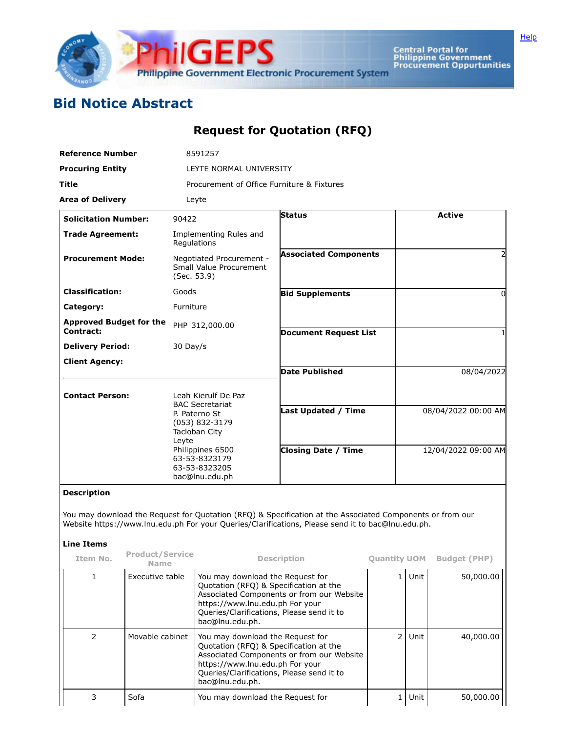

Central Portal for<br>Philippine Government<br>Procurement Oppurtunities

## **Bid Notice Abstract**

## **Request for Quotation (RFQ)**

| <b>Reference Number</b>                     | 8591257                                                                                                                           |                              |                     |  |  |  |  |
|---------------------------------------------|-----------------------------------------------------------------------------------------------------------------------------------|------------------------------|---------------------|--|--|--|--|
| <b>Procuring Entity</b>                     | LEYTE NORMAL UNIVERSITY                                                                                                           |                              |                     |  |  |  |  |
| <b>Title</b>                                | Procurement of Office Furniture & Fixtures                                                                                        |                              |                     |  |  |  |  |
| <b>Area of Delivery</b>                     | Leyte                                                                                                                             |                              |                     |  |  |  |  |
| <b>Solicitation Number:</b>                 | 90422                                                                                                                             | <b>Status</b>                | <b>Active</b>       |  |  |  |  |
| <b>Trade Agreement:</b>                     | Implementing Rules and<br>Regulations                                                                                             |                              |                     |  |  |  |  |
| <b>Procurement Mode:</b>                    | Negotiated Procurement -<br>Small Value Procurement<br>(Sec. 53.9)                                                                | <b>Associated Components</b> | 2                   |  |  |  |  |
| <b>Classification:</b>                      | Goods                                                                                                                             | <b>Bid Supplements</b>       | 0                   |  |  |  |  |
| Category:                                   | Furniture                                                                                                                         |                              |                     |  |  |  |  |
| <b>Approved Budget for the</b><br>Contract: | PHP 312,000.00                                                                                                                    | <b>Document Request List</b> |                     |  |  |  |  |
| <b>Delivery Period:</b>                     | $30$ Day/s                                                                                                                        |                              |                     |  |  |  |  |
| <b>Client Agency:</b>                       |                                                                                                                                   |                              |                     |  |  |  |  |
|                                             |                                                                                                                                   | <b>Date Published</b>        | 08/04/2022          |  |  |  |  |
| <b>Contact Person:</b>                      | Leah Kierulf De Paz<br><b>BAC Secretariat</b>                                                                                     |                              |                     |  |  |  |  |
|                                             | P. Paterno St<br>(053) 832-3179<br>Tacloban City<br>Leyte<br>Philippines 6500<br>63-53-8323179<br>63-53-8323205<br>bac@lnu.edu.ph | <b>Last Updated / Time</b>   | 08/04/2022 00:00 AM |  |  |  |  |
|                                             |                                                                                                                                   | <b>Closing Date / Time</b>   | 12/04/2022 09:00 AM |  |  |  |  |

## **Description**

You may download the Request for Quotation (RFQ) & Specification at the Associated Components or from our Website https://www.lnu.edu.ph For your Queries/Clarifications, Please send it to bac@lnu.edu.ph.

## **Line Items**

| Item No.      | <b>Product/Service</b><br>Name | <b>Description</b>                                                                                                                                                                                                         | <b>Quantity UOM</b> |      | <b>Budget (PHP)</b> |
|---------------|--------------------------------|----------------------------------------------------------------------------------------------------------------------------------------------------------------------------------------------------------------------------|---------------------|------|---------------------|
|               | Executive table                | You may download the Request for<br>Quotation (RFQ) & Specification at the<br>Associated Components or from our Website<br>https://www.lnu.edu.ph For your<br>Queries/Clarifications, Please send it to<br>bac@lnu.edu.ph. |                     | Unit | 50,000.00           |
| $\mathcal{P}$ | Movable cabinet                | You may download the Request for<br>Quotation (RFQ) & Specification at the<br>Associated Components or from our Website<br>https://www.lnu.edu.ph For your<br>Queries/Clarifications, Please send it to<br>bac@lnu.edu.ph. |                     | Unit | 40,000,00           |
|               | Sofa                           | You may download the Request for                                                                                                                                                                                           |                     | Unit | 50,000.00           |